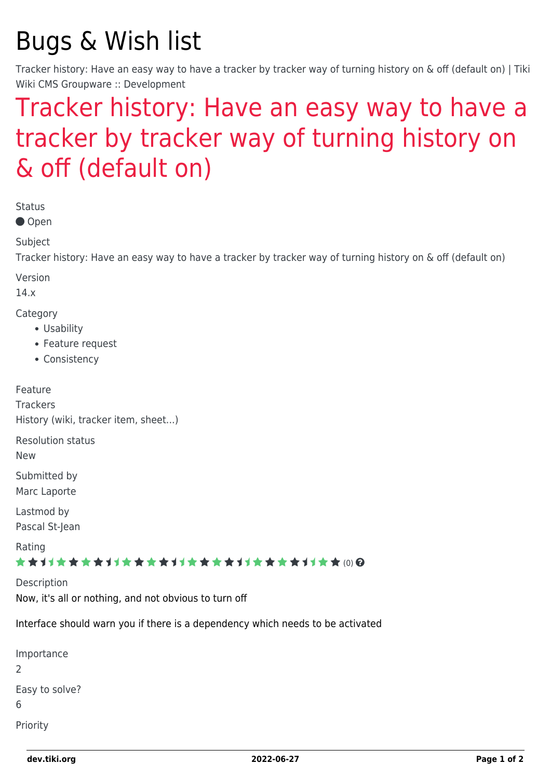# Bugs & Wish list

Tracker history: Have an easy way to have a tracker by tracker way of turning history on & off (default on) | Tiki Wiki CMS Groupware :: Development

## [Tracker history: Have an easy way to have a](https://dev.tiki.org/item4855-Tracker-history-Have-an-easy-way-to-have-a-tracker-by-tracker-way-of-turning-history-on-off-default-on) [tracker by tracker way of turning history on](https://dev.tiki.org/item4855-Tracker-history-Have-an-easy-way-to-have-a-tracker-by-tracker-way-of-turning-history-on-off-default-on) [& off \(default on\)](https://dev.tiki.org/item4855-Tracker-history-Have-an-easy-way-to-have-a-tracker-by-tracker-way-of-turning-history-on-off-default-on)

Status

● Open

Subject

Tracker history: Have an easy way to have a tracker by tracker way of turning history on & off (default on)

Version

14.x

Category

- Usability
- Feature request
- Consistency

Feature **Trackers** History (wiki, tracker item, sheet...) Resolution status New

Submitted by Marc Laporte

Lastmod by Pascal St-Jean

Rating

#### \*\*\*\*\*\*\*\*\*\*\*\*\*\*\*\*\*\*\*\*\*\*\*\*\*\*\*\*\*\*

Description

Now, it's all or nothing, and not obvious to turn off

Interface should warn you if there is a dependency which needs to be activated

| Importance          |
|---------------------|
| 2                   |
| Easy to solve?<br>6 |
| Priority            |